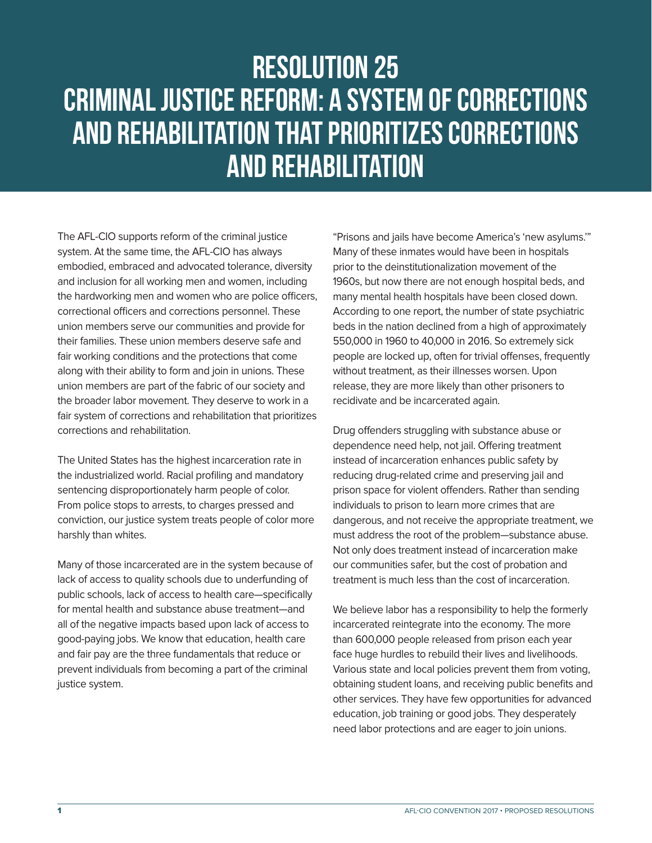## Resolution 25 CRIMINAL JUSTICE REFORM: A SYSTEM OF CORRECTIONS AND REHABILITATION THAT PRIORITIZES CORRECTIONS AND REHABILITATION

The AFL-CIO supports reform of the criminal justice system. At the same time, the AFL-CIO has always embodied, embraced and advocated tolerance, diversity and inclusion for all working men and women, including the hardworking men and women who are police officers, correctional officers and corrections personnel. These union members serve our communities and provide for their families. These union members deserve safe and fair working conditions and the protections that come along with their ability to form and join in unions. These union members are part of the fabric of our society and the broader labor movement. They deserve to work in a fair system of corrections and rehabilitation that prioritizes corrections and rehabilitation.

The United States has the highest incarceration rate in the industrialized world. Racial profiling and mandatory sentencing disproportionately harm people of color. From police stops to arrests, to charges pressed and conviction, our justice system treats people of color more harshly than whites.

Many of those incarcerated are in the system because of lack of access to quality schools due to underfunding of public schools, lack of access to health care—specifically for mental health and substance abuse treatment—and all of the negative impacts based upon lack of access to good-paying jobs. We know that education, health care and fair pay are the three fundamentals that reduce or prevent individuals from becoming a part of the criminal justice system.

"Prisons and jails have become America's 'new asylums.'" Many of these inmates would have been in hospitals prior to the deinstitutionalization movement of the 1960s, but now there are not enough hospital beds, and many mental health hospitals have been closed down. According to one report, the number of state psychiatric beds in the nation declined from a high of approximately 550,000 in 1960 to 40,000 in 2016. So extremely sick people are locked up, often for trivial offenses, frequently without treatment, as their illnesses worsen. Upon release, they are more likely than other prisoners to recidivate and be incarcerated again.

Drug offenders struggling with substance abuse or dependence need help, not jail. Offering treatment instead of incarceration enhances public safety by reducing drug-related crime and preserving jail and prison space for violent offenders. Rather than sending individuals to prison to learn more crimes that are dangerous, and not receive the appropriate treatment, we must address the root of the problem—substance abuse. Not only does treatment instead of incarceration make our communities safer, but the cost of probation and treatment is much less than the cost of incarceration.

We believe labor has a responsibility to help the formerly incarcerated reintegrate into the economy. The more than 600,000 people released from prison each year face huge hurdles to rebuild their lives and livelihoods. Various state and local policies prevent them from voting, obtaining student loans, and receiving public benefits and other services. They have few opportunities for advanced education, job training or good jobs. They desperately need labor protections and are eager to join unions.